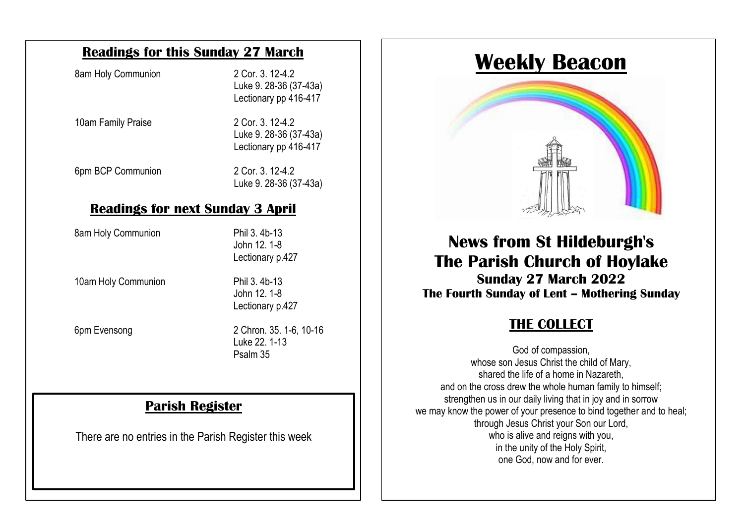#### **Readings for this Sunday 27 March**

| 8am Holy Communion | 2 Cor. 3, 12-4.2<br>Luke 9. 28-36 (37-43a)<br>Lectionary pp 416-417 |
|--------------------|---------------------------------------------------------------------|
| 10am Family Praise | 2 Cor. 3. 12-4.2<br>Luke 9. 28-36 (37-43a)<br>Lectionary pp 416-417 |
| 6pm BCP Communion  | 2 Cor. 3, 12-4.2<br>Luke 9. 28-36 (37-43a)                          |

#### <u>neuunigo ioi hext ounuuy o ap</u> **Readings for next Sunday 3 April**

8am Holy Communion Phil 3. 4b-13

conducted in line with Church of England guidance and may be used to  $\sim$  1-8 Lectionary p.427

> John 12. 1-8 Lectionary p.427

10am Holy Communion Phil 3. 4b-13<br>Abn 12, 1.8

6pm Evensong

2 Chron. 35, 1-6, 10-16 Luke 22. 1-13 Psalm 35

#### **Parish Register**

There are no entries in the Parish Register this week

## **Weekly Beacon**



# **News from St Hildeburgh's The Parish Church of Hoylake**

**Sunday 27 March 2022 The Fourth Sunday of Lent – Mothering Sunday**

# **THE COLLECT**

God of compassion, whose son Jesus Christ the child of Mary, shared the life of a home in Nazareth, and on the cross drew the whole human family to himself; strengthen us in our daily living that in joy and in sorrow we may know the power of your presence to bind together and to heal: through Jesus Christ your Son our Lord, who is alive and reigns with you, in the unity of the Holy Spirit, one God, now and for ever.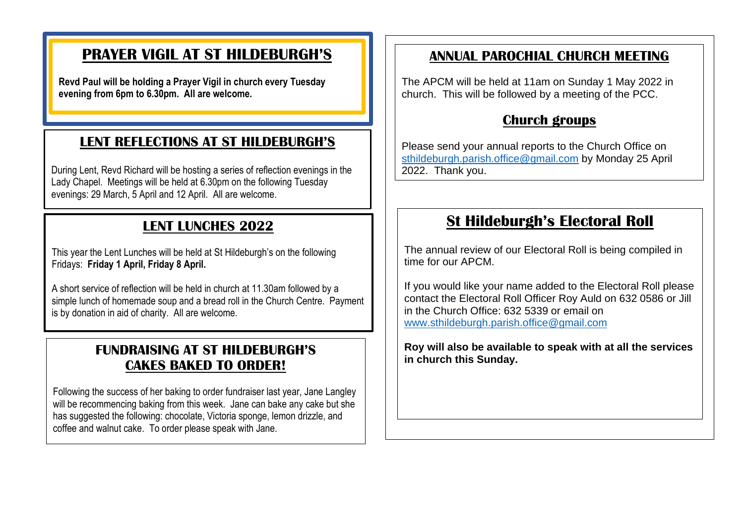## **PRAYER VIGIL AT ST HILDEBURGH'S**

**Revd Paul will be holding a Prayer Vigil in church every Tuesday evening from 6pm to 6.30pm. All are welcome.**

#### **LENT REFLECTIONS AT ST HILDEBURGH'S**

During Lent, Revd Richard will be hosting a series of reflection evenings in the Lady Chapel. Meetings will be held at 6.30pm on the following Tuesday evenings: 29 March, 5 April and 12 April. All are welcome.

### **LENT LUNCHES 2022**

This year the Lent Lunches will be held at St Hildeburgh's on the following Fridays: **Friday 1 April, Friday 8 April.**

A short service of reflection will be held in church at 11.30am followed by a simple lunch of homemade soup and a bread roll in the Church Centre. Payment is by donation in aid of charity. All are welcome.

#### **FUNDRAISING AT ST HILDEBURGH'S CAKES BAKED TO ORDER!**

Following the success of her baking to order fundraiser last year, Jane Langley will be recommencing baking from this week. Jane can bake any cake but she has suggested the following: chocolate, Victoria sponge, lemon drizzle, and coffee and walnut cake. To order please speak with Jane.

#### **ANNUAL PAROCHIAL CHURCH MEETING**

The APCM will be held at 11am on Sunday 1 May 2022 in church. This will be followed by a meeting of the PCC.

#### **Church groups**

Please send your annual reports to the Church Office on [sthildeburgh.parish.office@gmail.com](mailto:sthildeburgh.parish.office@gmail.com) by Monday 25 April 2022. Thank you.

 $\overline{a}$ 

## **St Hildeburgh's Electoral Roll**

The annual review of our Electoral Roll is being compiled in time for our APCM.

If you would like your name added to the Electoral Roll please contact the Electoral Roll Officer Roy Auld on 632 0586 or Jill in the Church Office: 632 5339 or email on [www.sthildeburgh.parish.office@gmail.com](http://www.sthildeburgh.parish.office@gmail.com)

**Roy will also be available to speak with at all the services in church this Sunday.**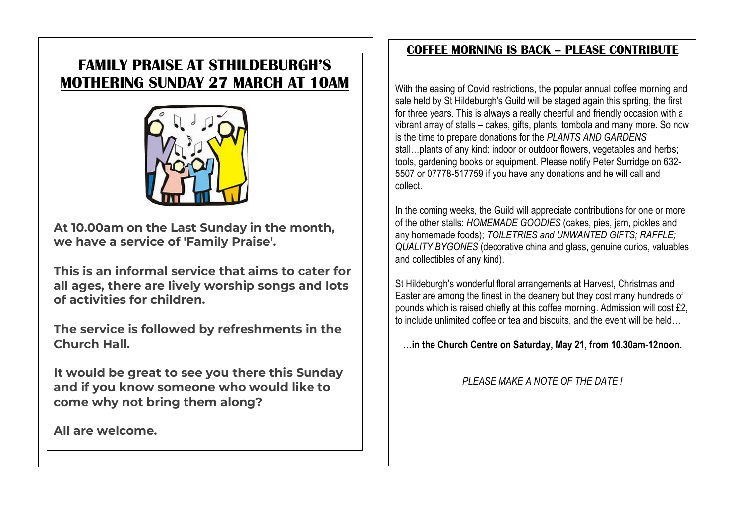## **FAMILY PRAISE AT STHILDEBURGH'S MOTHERING SUNDAY 27 MARCH AT 10AM**



**At 10.00am on the Last Sunday in the month, we have a service of 'Family Praise'.** 

**This is an informal service that aims to cater for all ages, there are lively worship songs and lots of activities for children.** 

**The service is followed by refreshments in the Church Hall.**

**It would be great to see you there this Sunday and if you know someone who would like to come why not bring them along?** 

**All are welcome.** 

#### **COFFEE MORNING IS BACK – PLEASE CONTRIBUTE**

With the easing of Covid restrictions, the popular annual coffee morning and sale held by St Hildeburgh's Guild will be staged again this sprting, the first for three years. This is always a really cheerful and friendly occasion with a vibrant array of stalls – cakes, gifts, plants, tombola and many more. So now is the time to prepare donations for the *PLANTS AND GARDENS* stall…plants of any kind: indoor or outdoor flowers, vegetables and herbs; tools, gardening books or equipment. Please notify Peter Surridge on 632- 5507 or 07778-517759 if you have any donations and he will call and collect.

In the coming weeks, the Guild will appreciate contributions for one or more of the other stalls: *HOMEMADE GOODIES* (cakes, pies, jam, pickles and any homemade foods); *TOILETRIES and UNWANTED GIFTS; RAFFLE; QUALITY BYGONES* (decorative china and glass, genuine curios, valuables and collectibles of any kind).

St Hildeburgh's wonderful floral arrangements at Harvest, Christmas and Easter are among the finest in the deanery but they cost many hundreds of pounds which is raised chiefly at this coffee morning. Admission will cost £2, to include unlimited coffee or tea and biscuits, and the event will be held

**…in the Church Centre on Saturday, May 21, from 10.30am-12noon.**

*PLEASE MAKE A NOTE OF THE DATE !*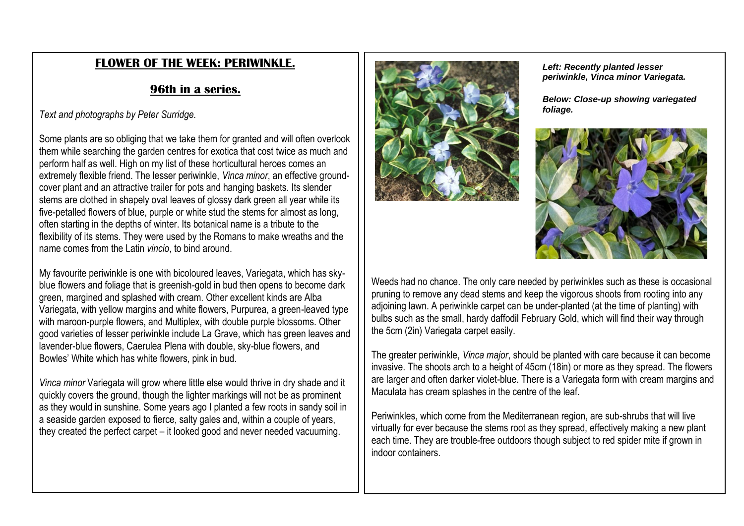#### **FLOWER OF THE WEEK: PERIWINKLE.**

#### **96th in a series.**

*Text and photographs by Peter Surridge.*

Some plants are so obliging that we take them for granted and will often overlook them while searching the garden centres for exotica that cost twice as much and perform half as well. High on my list of these horticultural heroes comes an extremely flexible friend. The lesser periwinkle, *Vinca minor*, an effective groundcover plant and an attractive trailer for pots and hanging baskets. Its slender stems are clothed in shapely oval leaves of glossy dark green all year while its five-petalled flowers of blue, purple or white stud the stems for almost as long, often starting in the depths of winter. Its botanical name is a tribute to the flexibility of its stems. They were used by the Romans to make wreaths and the name comes from the Latin *vincio*, to bind around.

My favourite periwinkle is one with bicoloured leaves, Variegata, which has skyblue flowers and foliage that is greenish-gold in bud then opens to become dark green, margined and splashed with cream. Other excellent kinds are Alba Variegata, with yellow margins and white flowers, Purpurea, a green-leaved type with maroon-purple flowers, and Multiplex, with double purple blossoms. Other good varieties of lesser periwinkle include La Grave, which has green leaves and lavender-blue flowers, Caerulea Plena with double, sky-blue flowers, and Bowles' White which has white flowers, pink in bud.

*Vinca minor* Variegata will grow where little else would thrive in dry shade and it quickly covers the ground, though the lighter markings will not be as prominent as they would in sunshine. Some years ago I planted a few roots in sandy soil in a seaside garden exposed to fierce, salty gales and, within a couple of years, they created the perfect carpet – it looked good and never needed vacuuming.



*Left: Recently planted lesser periwinkle, Vinca minor Variegata.*

*Below: Close-up showing variegated foliage.*



Weeds had no chance. The only care needed by periwinkles such as these is occasional pruning to remove any dead stems and keep the vigorous shoots from rooting into any adjoining lawn. A periwinkle carpet can be under-planted (at the time of planting) with bulbs such as the small, hardy daffodil February Gold, which will find their way through the 5cm (2in) Variegata carpet easily.

The greater periwinkle, *Vinca major*, should be planted with care because it can become invasive. The shoots arch to a height of 45cm (18in) or more as they spread. The flowers are larger and often darker violet-blue. There is a Variegata form with cream margins and Maculata has cream splashes in the centre of the leaf.

Periwinkles, which come from the Mediterranean region, are sub-shrubs that will live virtually for ever because the stems root as they spread, effectively making a new plant each time. They are trouble-free outdoors though subject to red spider mite if grown in indoor containers.